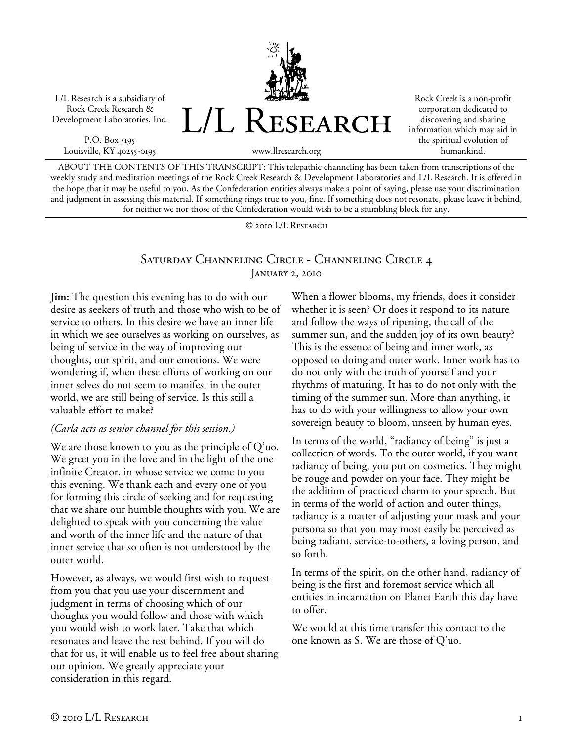L/L Research is a subsidiary of Rock Creek Research & Development Laboratories, Inc.

P.O. Box 5195 Louisville, KY 40255-0195 L/L Research

Rock Creek is a non-profit corporation dedicated to discovering and sharing information which may aid in the spiritual evolution of humankind.

www.llresearch.org

ABOUT THE CONTENTS OF THIS TRANSCRIPT: This telepathic channeling has been taken from transcriptions of the weekly study and meditation meetings of the Rock Creek Research & Development Laboratories and L/L Research. It is offered in the hope that it may be useful to you. As the Confederation entities always make a point of saying, please use your discrimination and judgment in assessing this material. If something rings true to you, fine. If something does not resonate, please leave it behind, for neither we nor those of the Confederation would wish to be a stumbling block for any.

© 2010 L/L Research

# Saturday Channeling Circle - Channeling Circle 4 January 2, 2010

**Jim:** The question this evening has to do with our desire as seekers of truth and those who wish to be of service to others. In this desire we have an inner life in which we see ourselves as working on ourselves, as being of service in the way of improving our thoughts, our spirit, and our emotions. We were wondering if, when these efforts of working on our inner selves do not seem to manifest in the outer world, we are still being of service. Is this still a valuable effort to make?

#### *(Carla acts as senior channel for this session.)*

We are those known to you as the principle of Q'uo. We greet you in the love and in the light of the one infinite Creator, in whose service we come to you this evening. We thank each and every one of you for forming this circle of seeking and for requesting that we share our humble thoughts with you. We are delighted to speak with you concerning the value and worth of the inner life and the nature of that inner service that so often is not understood by the outer world.

However, as always, we would first wish to request from you that you use your discernment and judgment in terms of choosing which of our thoughts you would follow and those with which you would wish to work later. Take that which resonates and leave the rest behind. If you will do that for us, it will enable us to feel free about sharing our opinion. We greatly appreciate your consideration in this regard.

When a flower blooms, my friends, does it consider whether it is seen? Or does it respond to its nature and follow the ways of ripening, the call of the summer sun, and the sudden joy of its own beauty? This is the essence of being and inner work, as opposed to doing and outer work. Inner work has to do not only with the truth of yourself and your rhythms of maturing. It has to do not only with the timing of the summer sun. More than anything, it has to do with your willingness to allow your own sovereign beauty to bloom, unseen by human eyes.

In terms of the world, "radiancy of being" is just a collection of words. To the outer world, if you want radiancy of being, you put on cosmetics. They might be rouge and powder on your face. They might be the addition of practiced charm to your speech. But in terms of the world of action and outer things, radiancy is a matter of adjusting your mask and your persona so that you may most easily be perceived as being radiant, service-to-others, a loving person, and so forth.

In terms of the spirit, on the other hand, radiancy of being is the first and foremost service which all entities in incarnation on Planet Earth this day have to offer.

We would at this time transfer this contact to the one known as S. We are those of Q'uo.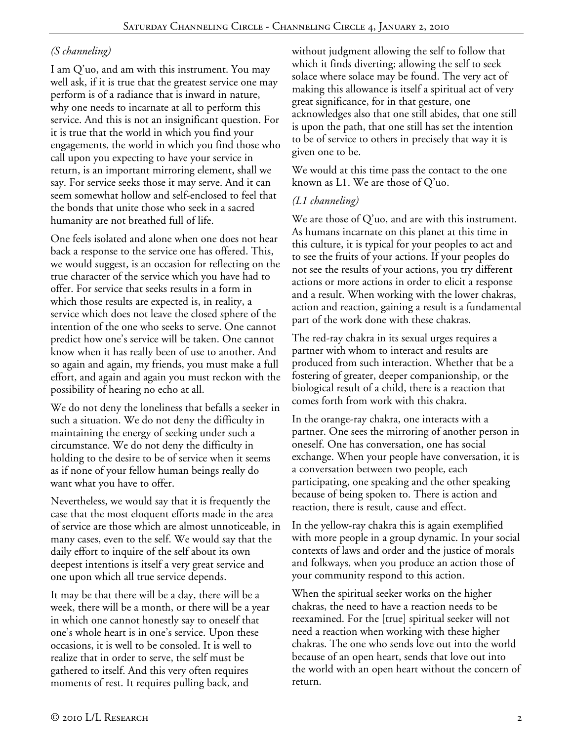### *(S channeling)*

I am Q'uo, and am with this instrument. You may well ask, if it is true that the greatest service one may perform is of a radiance that is inward in nature, why one needs to incarnate at all to perform this service. And this is not an insignificant question. For it is true that the world in which you find your engagements, the world in which you find those who call upon you expecting to have your service in return, is an important mirroring element, shall we say. For service seeks those it may serve. And it can seem somewhat hollow and self-enclosed to feel that the bonds that unite those who seek in a sacred humanity are not breathed full of life.

One feels isolated and alone when one does not hear back a response to the service one has offered. This, we would suggest, is an occasion for reflecting on the true character of the service which you have had to offer. For service that seeks results in a form in which those results are expected is, in reality, a service which does not leave the closed sphere of the intention of the one who seeks to serve. One cannot predict how one's service will be taken. One cannot know when it has really been of use to another. And so again and again, my friends, you must make a full effort, and again and again you must reckon with the possibility of hearing no echo at all.

We do not deny the loneliness that befalls a seeker in such a situation. We do not deny the difficulty in maintaining the energy of seeking under such a circumstance. We do not deny the difficulty in holding to the desire to be of service when it seems as if none of your fellow human beings really do want what you have to offer.

Nevertheless, we would say that it is frequently the case that the most eloquent efforts made in the area of service are those which are almost unnoticeable, in many cases, even to the self. We would say that the daily effort to inquire of the self about its own deepest intentions is itself a very great service and one upon which all true service depends.

It may be that there will be a day, there will be a week, there will be a month, or there will be a year in which one cannot honestly say to oneself that one's whole heart is in one's service. Upon these occasions, it is well to be consoled. It is well to realize that in order to serve, the self must be gathered to itself. And this very often requires moments of rest. It requires pulling back, and

without judgment allowing the self to follow that which it finds diverting; allowing the self to seek solace where solace may be found. The very act of making this allowance is itself a spiritual act of very great significance, for in that gesture, one acknowledges also that one still abides, that one still is upon the path, that one still has set the intention to be of service to others in precisely that way it is given one to be.

We would at this time pass the contact to the one known as L1. We are those of Q'uo.

#### *(L1 channeling)*

We are those of Q'uo, and are with this instrument. As humans incarnate on this planet at this time in this culture, it is typical for your peoples to act and to see the fruits of your actions. If your peoples do not see the results of your actions, you try different actions or more actions in order to elicit a response and a result. When working with the lower chakras, action and reaction, gaining a result is a fundamental part of the work done with these chakras.

The red-ray chakra in its sexual urges requires a partner with whom to interact and results are produced from such interaction. Whether that be a fostering of greater, deeper companionship, or the biological result of a child, there is a reaction that comes forth from work with this chakra.

In the orange-ray chakra, one interacts with a partner. One sees the mirroring of another person in oneself. One has conversation, one has social exchange. When your people have conversation, it is a conversation between two people, each participating, one speaking and the other speaking because of being spoken to. There is action and reaction, there is result, cause and effect.

In the yellow-ray chakra this is again exemplified with more people in a group dynamic. In your social contexts of laws and order and the justice of morals and folkways, when you produce an action those of your community respond to this action.

When the spiritual seeker works on the higher chakras, the need to have a reaction needs to be reexamined. For the [true] spiritual seeker will not need a reaction when working with these higher chakras. The one who sends love out into the world because of an open heart, sends that love out into the world with an open heart without the concern of return.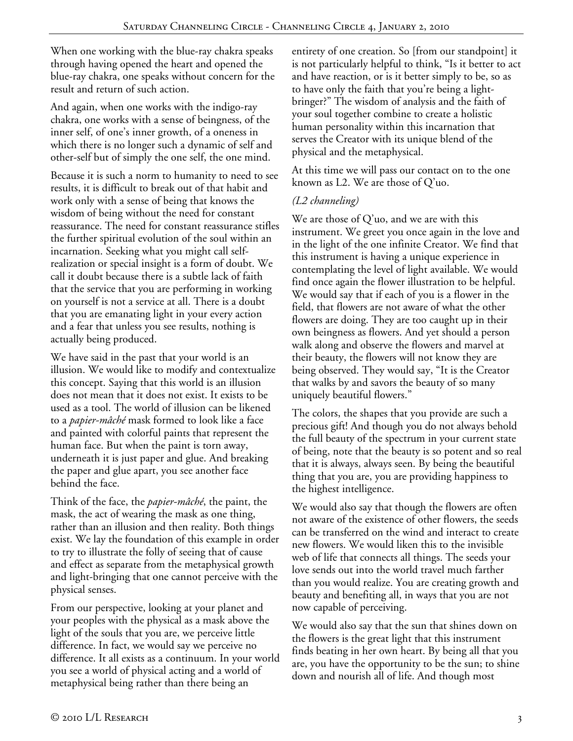When one working with the blue-ray chakra speaks through having opened the heart and opened the blue-ray chakra, one speaks without concern for the result and return of such action.

And again, when one works with the indigo-ray chakra, one works with a sense of beingness, of the inner self, of one's inner growth, of a oneness in which there is no longer such a dynamic of self and other-self but of simply the one self, the one mind.

Because it is such a norm to humanity to need to see results, it is difficult to break out of that habit and work only with a sense of being that knows the wisdom of being without the need for constant reassurance. The need for constant reassurance stifles the further spiritual evolution of the soul within an incarnation. Seeking what you might call selfrealization or special insight is a form of doubt. We call it doubt because there is a subtle lack of faith that the service that you are performing in working on yourself is not a service at all. There is a doubt that you are emanating light in your every action and a fear that unless you see results, nothing is actually being produced.

We have said in the past that your world is an illusion. We would like to modify and contextualize this concept. Saying that this world is an illusion does not mean that it does not exist. It exists to be used as a tool. The world of illusion can be likened to a *papier-mâché* mask formed to look like a face and painted with colorful paints that represent the human face. But when the paint is torn away, underneath it is just paper and glue. And breaking the paper and glue apart, you see another face behind the face.

Think of the face, the *papier-mâché*, the paint, the mask, the act of wearing the mask as one thing, rather than an illusion and then reality. Both things exist. We lay the foundation of this example in order to try to illustrate the folly of seeing that of cause and effect as separate from the metaphysical growth and light-bringing that one cannot perceive with the physical senses.

From our perspective, looking at your planet and your peoples with the physical as a mask above the light of the souls that you are, we perceive little difference. In fact, we would say we perceive no difference. It all exists as a continuum. In your world you see a world of physical acting and a world of metaphysical being rather than there being an

entirety of one creation. So [from our standpoint] it is not particularly helpful to think, "Is it better to act and have reaction, or is it better simply to be, so as to have only the faith that you're being a lightbringer?" The wisdom of analysis and the faith of your soul together combine to create a holistic human personality within this incarnation that serves the Creator with its unique blend of the physical and the metaphysical.

At this time we will pass our contact on to the one known as L2. We are those of Q'uo.

### *(L2 channeling)*

We are those of  $Q'$ uo, and we are with this instrument. We greet you once again in the love and in the light of the one infinite Creator. We find that this instrument is having a unique experience in contemplating the level of light available. We would find once again the flower illustration to be helpful. We would say that if each of you is a flower in the field, that flowers are not aware of what the other flowers are doing. They are too caught up in their own beingness as flowers. And yet should a person walk along and observe the flowers and marvel at their beauty, the flowers will not know they are being observed. They would say, "It is the Creator that walks by and savors the beauty of so many uniquely beautiful flowers."

The colors, the shapes that you provide are such a precious gift! And though you do not always behold the full beauty of the spectrum in your current state of being, note that the beauty is so potent and so real that it is always, always seen. By being the beautiful thing that you are, you are providing happiness to the highest intelligence.

We would also say that though the flowers are often not aware of the existence of other flowers, the seeds can be transferred on the wind and interact to create new flowers. We would liken this to the invisible web of life that connects all things. The seeds your love sends out into the world travel much farther than you would realize. You are creating growth and beauty and benefiting all, in ways that you are not now capable of perceiving.

We would also say that the sun that shines down on the flowers is the great light that this instrument finds beating in her own heart. By being all that you are, you have the opportunity to be the sun; to shine down and nourish all of life. And though most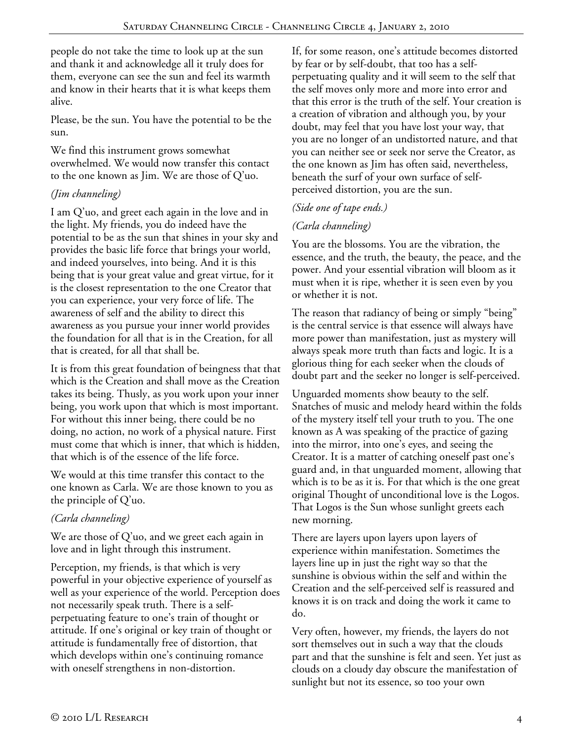people do not take the time to look up at the sun and thank it and acknowledge all it truly does for them, everyone can see the sun and feel its warmth and know in their hearts that it is what keeps them alive.

Please, be the sun. You have the potential to be the sun.

We find this instrument grows somewhat overwhelmed. We would now transfer this contact to the one known as Jim. We are those of Q'uo.

# *(Jim channeling)*

I am Q'uo, and greet each again in the love and in the light. My friends, you do indeed have the potential to be as the sun that shines in your sky and provides the basic life force that brings your world, and indeed yourselves, into being. And it is this being that is your great value and great virtue, for it is the closest representation to the one Creator that you can experience, your very force of life. The awareness of self and the ability to direct this awareness as you pursue your inner world provides the foundation for all that is in the Creation, for all that is created, for all that shall be.

It is from this great foundation of beingness that that which is the Creation and shall move as the Creation takes its being. Thusly, as you work upon your inner being, you work upon that which is most important. For without this inner being, there could be no doing, no action, no work of a physical nature. First must come that which is inner, that which is hidden, that which is of the essence of the life force.

We would at this time transfer this contact to the one known as Carla. We are those known to you as the principle of Q'uo.

# *(Carla channeling)*

We are those of Q'uo, and we greet each again in love and in light through this instrument.

Perception, my friends, is that which is very powerful in your objective experience of yourself as well as your experience of the world. Perception does not necessarily speak truth. There is a selfperpetuating feature to one's train of thought or attitude. If one's original or key train of thought or attitude is fundamentally free of distortion, that which develops within one's continuing romance with oneself strengthens in non-distortion.

If, for some reason, one's attitude becomes distorted by fear or by self-doubt, that too has a selfperpetuating quality and it will seem to the self that the self moves only more and more into error and that this error is the truth of the self. Your creation is a creation of vibration and although you, by your doubt, may feel that you have lost your way, that you are no longer of an undistorted nature, and that you can neither see or seek nor serve the Creator, as the one known as Jim has often said, nevertheless, beneath the surf of your own surface of selfperceived distortion, you are the sun.

# *(Side one of tape ends.)*

# *(Carla channeling)*

You are the blossoms. You are the vibration, the essence, and the truth, the beauty, the peace, and the power. And your essential vibration will bloom as it must when it is ripe, whether it is seen even by you or whether it is not.

The reason that radiancy of being or simply "being" is the central service is that essence will always have more power than manifestation, just as mystery will always speak more truth than facts and logic. It is a glorious thing for each seeker when the clouds of doubt part and the seeker no longer is self-perceived.

Unguarded moments show beauty to the self. Snatches of music and melody heard within the folds of the mystery itself tell your truth to you. The one known as A was speaking of the practice of gazing into the mirror, into one's eyes, and seeing the Creator. It is a matter of catching oneself past one's guard and, in that unguarded moment, allowing that which is to be as it is. For that which is the one great original Thought of unconditional love is the Logos. That Logos is the Sun whose sunlight greets each new morning.

There are layers upon layers upon layers of experience within manifestation. Sometimes the layers line up in just the right way so that the sunshine is obvious within the self and within the Creation and the self-perceived self is reassured and knows it is on track and doing the work it came to do.

Very often, however, my friends, the layers do not sort themselves out in such a way that the clouds part and that the sunshine is felt and seen. Yet just as clouds on a cloudy day obscure the manifestation of sunlight but not its essence, so too your own